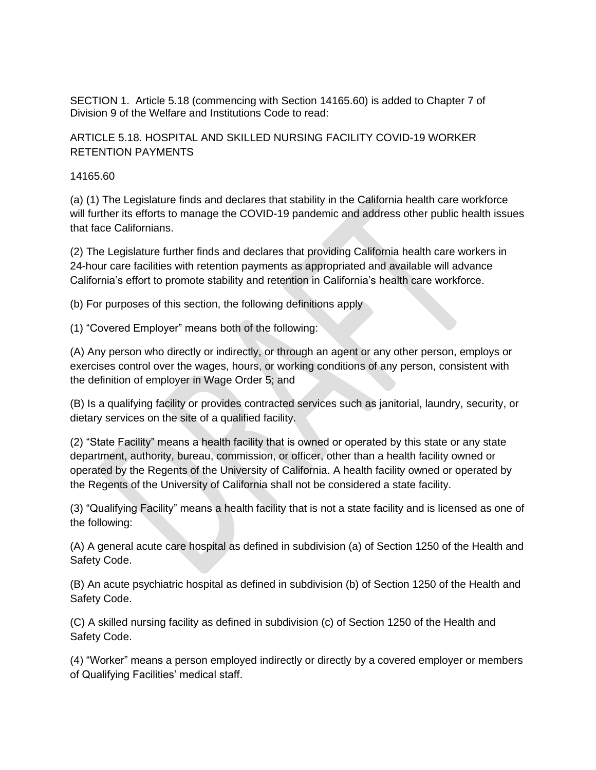SECTION 1. Article 5.18 (commencing with Section 14165.60) is added to Chapter 7 of Division 9 of the Welfare and Institutions Code to read:

ARTICLE 5.18. HOSPITAL AND SKILLED NURSING FACILITY COVID-19 WORKER RETENTION PAYMENTS

14165.60

(a) (1) The Legislature finds and declares that stability in the California health care workforce will further its efforts to manage the COVID-19 pandemic and address other public health issues that face Californians.

(2) The Legislature further finds and declares that providing California health care workers in 24-hour care facilities with retention payments as appropriated and available will advance California's effort to promote stability and retention in California's health care workforce.

(b) For purposes of this section, the following definitions apply

(1) "Covered Employer" means both of the following:

(A) Any person who directly or indirectly, or through an agent or any other person, employs or exercises control over the wages, hours, or working conditions of any person, consistent with the definition of employer in Wage Order 5; and

(B) Is a qualifying facility or provides contracted services such as janitorial, laundry, security, or dietary services on the site of a qualified facility.

(2) "State Facility" means a health facility that is owned or operated by this state or any state department, authority, bureau, commission, or officer, other than a health facility owned or operated by the Regents of the University of California. A health facility owned or operated by the Regents of the University of California shall not be considered a state facility.

(3) "Qualifying Facility" means a health facility that is not a state facility and is licensed as one of the following:

(A) A general acute care hospital as defined in subdivision (a) of Section 1250 of the Health and Safety Code.

(B) An acute psychiatric hospital as defined in subdivision (b) of Section 1250 of the Health and Safety Code.

(C) A skilled nursing facility as defined in subdivision (c) of Section 1250 of the Health and Safety Code.

(4) "Worker" means a person employed indirectly or directly by a covered employer or members of Qualifying Facilities' medical staff.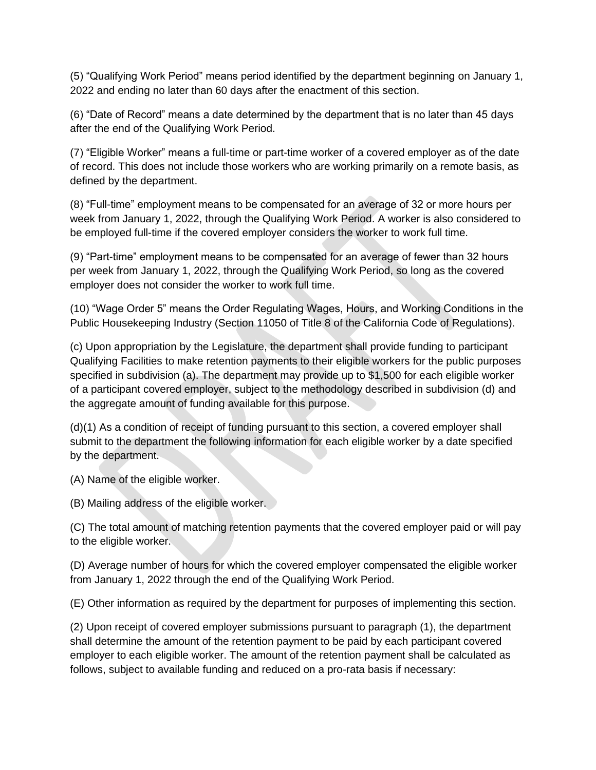(5) "Qualifying Work Period" means period identified by the department beginning on January 1, 2022 and ending no later than 60 days after the enactment of this section.

(6) "Date of Record" means a date determined by the department that is no later than 45 days after the end of the Qualifying Work Period.

(7) "Eligible Worker" means a full-time or part-time worker of a covered employer as of the date of record. This does not include those workers who are working primarily on a remote basis, as defined by the department.

(8) "Full-time" employment means to be compensated for an average of 32 or more hours per week from January 1, 2022, through the Qualifying Work Period. A worker is also considered to be employed full-time if the covered employer considers the worker to work full time.

(9) "Part-time" employment means to be compensated for an average of fewer than 32 hours per week from January 1, 2022, through the Qualifying Work Period, so long as the covered employer does not consider the worker to work full time.

(10) "Wage Order 5" means the Order Regulating Wages, Hours, and Working Conditions in the Public Housekeeping Industry (Section 11050 of Title 8 of the California Code of Regulations).

(c) Upon appropriation by the Legislature, the department shall provide funding to participant Qualifying Facilities to make retention payments to their eligible workers for the public purposes specified in subdivision (a). The department may provide up to \$1,500 for each eligible worker of a participant covered employer, subject to the methodology described in subdivision (d) and the aggregate amount of funding available for this purpose.

(d)(1) As a condition of receipt of funding pursuant to this section, a covered employer shall submit to the department the following information for each eligible worker by a date specified by the department.

(A) Name of the eligible worker.

(B) Mailing address of the eligible worker.

(C) The total amount of matching retention payments that the covered employer paid or will pay to the eligible worker.

(D) Average number of hours for which the covered employer compensated the eligible worker from January 1, 2022 through the end of the Qualifying Work Period.

(E) Other information as required by the department for purposes of implementing this section.

(2) Upon receipt of covered employer submissions pursuant to paragraph (1), the department shall determine the amount of the retention payment to be paid by each participant covered employer to each eligible worker. The amount of the retention payment shall be calculated as follows, subject to available funding and reduced on a pro-rata basis if necessary: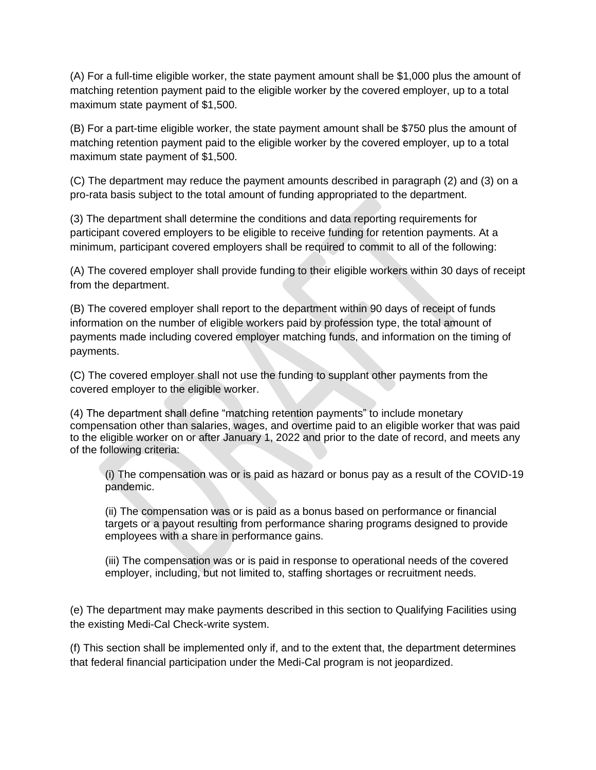(A) For a full-time eligible worker, the state payment amount shall be \$1,000 plus the amount of matching retention payment paid to the eligible worker by the covered employer, up to a total maximum state payment of \$1,500.

(B) For a part-time eligible worker, the state payment amount shall be \$750 plus the amount of matching retention payment paid to the eligible worker by the covered employer, up to a total maximum state payment of \$1,500.

(C) The department may reduce the payment amounts described in paragraph (2) and (3) on a pro-rata basis subject to the total amount of funding appropriated to the department.

(3) The department shall determine the conditions and data reporting requirements for participant covered employers to be eligible to receive funding for retention payments. At a minimum, participant covered employers shall be required to commit to all of the following:

(A) The covered employer shall provide funding to their eligible workers within 30 days of receipt from the department.

(B) The covered employer shall report to the department within 90 days of receipt of funds information on the number of eligible workers paid by profession type, the total amount of payments made including covered employer matching funds, and information on the timing of payments.

(C) The covered employer shall not use the funding to supplant other payments from the covered employer to the eligible worker.

(4) The department shall define "matching retention payments" to include monetary compensation other than salaries, wages, and overtime paid to an eligible worker that was paid to the eligible worker on or after January 1, 2022 and prior to the date of record, and meets any of the following criteria:

(i) The compensation was or is paid as hazard or bonus pay as a result of the COVID-19 pandemic.

(ii) The compensation was or is paid as a bonus based on performance or financial targets or a payout resulting from performance sharing programs designed to provide employees with a share in performance gains.

(iii) The compensation was or is paid in response to operational needs of the covered employer, including, but not limited to, staffing shortages or recruitment needs.

(e) The department may make payments described in this section to Qualifying Facilities using the existing Medi-Cal Check-write system.

(f) This section shall be implemented only if, and to the extent that, the department determines that federal financial participation under the Medi-Cal program is not jeopardized.